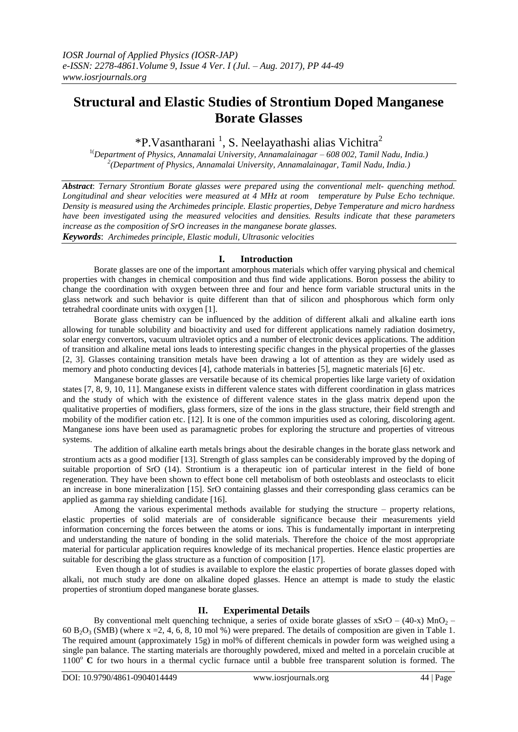# **Structural and Elastic Studies of Strontium Doped Manganese Borate Glasses**

\*P.Vasantharani<sup>1</sup>, S. Neelayathashi alias Vichitra<sup>2</sup>

1(*Department of Physics, Annamalai University, Annamalainagar – 608 002, Tamil Nadu, India.) 2 (Department of Physics, Annamalai University, Annamalainagar, Tamil Nadu, India.)*

*Abstract*: *Ternary Strontium Borate glasses were prepared using the conventional melt- quenching method. Longitudinal and shear velocities were measured at 4 MHz at room temperature by Pulse Echo technique. Density is measured using the Archimedes principle. Elastic properties, Debye Temperature and micro hardness have been investigated using the measured velocities and densities. Results indicate that these parameters increase as the composition of SrO increases in the manganese borate glasses. Keywords*: *Archimedes principle, Elastic moduli, Ultrasonic velocities*

## **I. Introduction**

Borate glasses are one of the important amorphous materials which offer varying physical and chemical properties with changes in chemical composition and thus find wide applications. Boron possess the ability to change the coordination with oxygen between three and four and hence form variable structural units in the glass network and such behavior is quite different than that of silicon and phosphorous which form only tetrahedral coordinate units with oxygen [1].

Borate glass chemistry can be influenced by the addition of different alkali and alkaline earth ions allowing for tunable solubility and bioactivity and used for different applications namely radiation dosimetry, solar energy convertors, vacuum ultraviolet optics and a number of electronic devices applications. The addition of transition and alkaline metal ions leads to interesting specific changes in the physical properties of the glasses [2, 3]. Glasses containing transition metals have been drawing a lot of attention as they are widely used as memory and photo conducting devices [4], cathode materials in batteries [5], magnetic materials [6] etc.

Manganese borate glasses are versatile because of its chemical properties like large variety of oxidation states [7, 8, 9, 10, 11]. Manganese exists in different valence states with different coordination in glass matrices and the study of which with the existence of different valence states in the glass matrix depend upon the qualitative properties of modifiers, glass formers, size of the ions in the glass structure, their field strength and mobility of the modifier cation etc. [12]. It is one of the common impurities used as coloring, discoloring agent. Manganese ions have been used as paramagnetic probes for exploring the structure and properties of vitreous systems.

The addition of alkaline earth metals brings about the desirable changes in the borate glass network and strontium acts as a good modifier [13]. Strength of glass samples can be considerably improved by the doping of suitable proportion of SrO (14). Strontium is a therapeutic ion of particular interest in the field of bone regeneration. They have been shown to effect bone cell metabolism of both osteoblasts and osteoclasts to elicit an increase in bone mineralization [15]. SrO containing glasses and their corresponding glass ceramics can be applied as gamma ray shielding candidate [16].

Among the various experimental methods available for studying the structure – property relations, elastic properties of solid materials are of considerable significance because their measurements yield information concerning the forces between the atoms or ions. This is fundamentally important in interpreting and understanding the nature of bonding in the solid materials. Therefore the choice of the most appropriate material for particular application requires knowledge of its mechanical properties. Hence elastic properties are suitable for describing the glass structure as a function of composition [17].

Even though a lot of studies is available to explore the elastic properties of borate glasses doped with alkali, not much study are done on alkaline doped glasses. Hence an attempt is made to study the elastic properties of strontium doped manganese borate glasses.

## **II. Experimental Details**

By conventional melt quenching technique, a series of oxide borate glasses of  $xSrO - (40-x) MnO<sub>2</sub> -$ 60 B<sub>2</sub>O<sub>3</sub> (SMB) (where x = 2, 4, 6, 8, 10 mol %) were prepared. The details of composition are given in Table 1. The required amount (approximately 15g) in mol% of different chemicals in powder form was weighed using a single pan balance. The starting materials are thoroughly powdered, mixed and melted in a porcelain crucible at 1100<sup>o</sup> **C** for two hours in a thermal cyclic furnace until a bubble free transparent solution is formed. The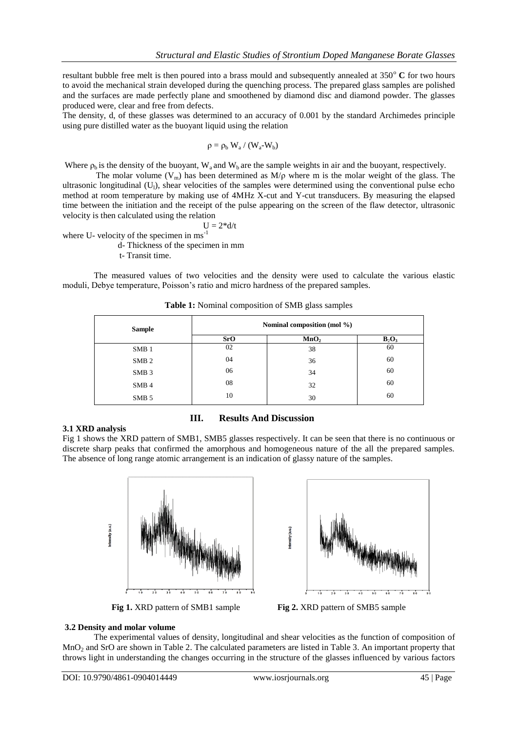resultant bubble free melt is then poured into a brass mould and subsequently annealed at 350<sup>°</sup> C for two hours to avoid the mechanical strain developed during the quenching process. The prepared glass samples are polished and the surfaces are made perfectly plane and smoothened by diamond disc and diamond powder. The glasses produced were, clear and free from defects.

The density, d, of these glasses was determined to an accuracy of 0.001 by the standard Archimedes principle using pure distilled water as the buoyant liquid using the relation

$$
\rho=\rho_b\;W_a\,/\,(W_a\text{-}W_b)
$$

Where  $\rho_b$  is the density of the buoyant, W<sub>a</sub> and W<sub>b</sub> are the sample weights in air and the buoyant, respectively.

The molar volume (V<sub>m</sub>) has been determined as  $M/\rho$  where m is the molar weight of the glass. The ultrasonic longitudinal  $(U_l)$ , shear velocities of the samples were determined using the conventional pulse echo method at room temperature by making use of 4MHz X-cut and Y-cut transducers. By measuring the elapsed time between the initiation and the receipt of the pulse appearing on the screen of the flaw detector, ultrasonic velocity is then calculated using the relation

$$
U=2^\ast d/t
$$

where U- velocity of the specimen in ms<sup>-1</sup>

d- Thickness of the specimen in mm

t- Transit time.

The measured values of two velocities and the density were used to calculate the various elastic moduli, Debye temperature, Poisson's ratio and micro hardness of the prepared samples.

| <b>Sample</b>    | Nominal composition (mol %) |                  |          |  |
|------------------|-----------------------------|------------------|----------|--|
|                  | <b>SrO</b>                  | MnO <sub>2</sub> | $B_2O_3$ |  |
| SMB <sub>1</sub> | 02                          | 38               | 60       |  |
| SMB <sub>2</sub> | 04                          | 36               | 60       |  |
| SMB <sub>3</sub> | 06                          | 34               | 60       |  |
| SMB <sub>4</sub> | 08                          | 32               | 60       |  |
| SMB <sub>5</sub> | 10                          | 30               | 60       |  |

**Table 1:** Nominal composition of SMB glass samples

#### **3.1 XRD analysis**

**III. Results And Discussion**

Fig 1 shows the XRD pattern of SMB1, SMB5 glasses respectively. It can be seen that there is no continuous or discrete sharp peaks that confirmed the amorphous and homogeneous nature of the all the prepared samples. The absence of long range atomic arrangement is an indication of glassy nature of the samples.







#### **3.2 Density and molar volume**

The experimental values of density, longitudinal and shear velocities as the function of composition of MnO<sup>2</sup> and SrO are shown in Table 2. The calculated parameters are listed in Table 3. An important property that throws light in understanding the changes occurring in the structure of the glasses influenced by various factors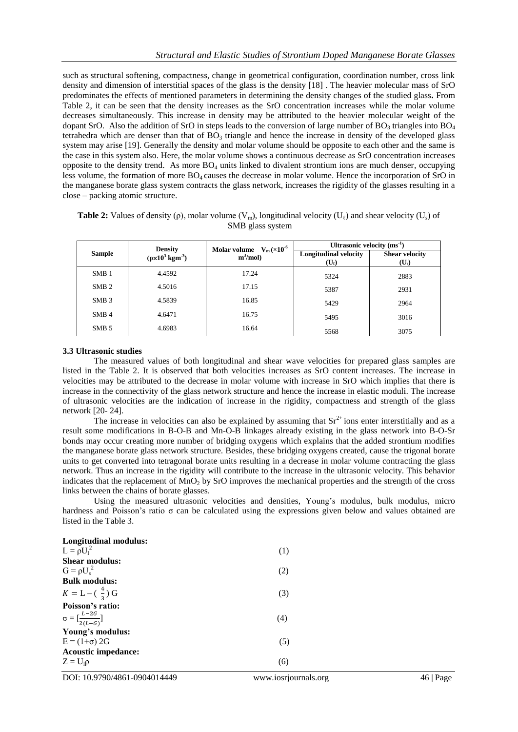such as structural softening, compactness, change in geometrical configuration, coordination number, cross link density and dimension of interstitial spaces of the glass is the density [18] . The heavier molecular mass of SrO predominates the effects of mentioned parameters in determining the density changes of the studied glass**.** From Table 2, it can be seen that the density increases as the SrO concentration increases while the molar volume decreases simultaneously. This increase in density may be attributed to the heavier molecular weight of the dopant SrO. Also the addition of SrO in steps leads to the conversion of large number of  $BO_3$  triangles into  $BO_4$ tetrahedra which are denser than that of  $B\overline{O}_3$  triangle and hence the increase in density of the developed glass system may arise [19]. Generally the density and molar volume should be opposite to each other and the same is the case in this system also. Here, the molar volume shows a continuous decrease as SrO concentration increases opposite to the density trend. As more  $BO<sub>4</sub>$  units linked to divalent strontium ions are much denser, occupying less volume, the formation of more BO4 causes the decrease in molar volume. Hence the incorporation of SrO in the manganese borate glass system contracts the glass network, increases the rigidity of the glasses resulting in a close – packing atomic structure.

| <b>Table 2:</b> Values of density (p), molar volume $(V_m)$ , longitudinal velocity $(U_\ell)$ and shear velocity $(U_s)$ of |  |
|------------------------------------------------------------------------------------------------------------------------------|--|
| SMB glass system                                                                                                             |  |

|                  | <b>Density</b>                     | Molar volume $V_m(\times 10^{-6}$ | Ultrasonic velocity $(ms^{-1})$              |                                  |  |
|------------------|------------------------------------|-----------------------------------|----------------------------------------------|----------------------------------|--|
| <b>Sample</b>    | $(\rho \times 10^3 \text{ kgm}^3)$ | $m^3/mol$                         | <b>Longitudinal velocity</b><br>$(U_{\ell})$ | <b>Shear velocity</b><br>$(U_s)$ |  |
| SMB <sub>1</sub> | 4.4592                             | 17.24                             | 5324                                         | 2883                             |  |
| SMB <sub>2</sub> | 4.5016                             | 17.15                             | 5387                                         | 2931                             |  |
| SMB <sub>3</sub> | 4.5839                             | 16.85                             | 5429                                         | 2964                             |  |
| SMB <sub>4</sub> | 4.6471                             | 16.75                             | 5495                                         | 3016                             |  |
| SMB 5            | 4.6983                             | 16.64                             | 5568                                         | 3075                             |  |

### **3.3 Ultrasonic studies**

The measured values of both longitudinal and shear wave velocities for prepared glass samples are listed in the Table 2. It is observed that both velocities increases as SrO content increases. The increase in velocities may be attributed to the decrease in molar volume with increase in SrO which implies that there is increase in the connectivity of the glass network structure and hence the increase in elastic moduli. The increase of ultrasonic velocities are the indication of increase in the rigidity, compactness and strength of the glass network [20- 24].

The increase in velocities can also be explained by assuming that  $Sr^{2+}$  ions enter interstitially and as a result some modifications in B-O-B and Mn-O-B linkages already existing in the glass network into B-O-Sr bonds may occur creating more number of bridging oxygens which explains that the added strontium modifies the manganese borate glass network structure. Besides, these bridging oxygens created, cause the trigonal borate units to get converted into tetragonal borate units resulting in a decrease in molar volume contracting the glass network. Thus an increase in the rigidity will contribute to the increase in the ultrasonic velocity. This behavior indicates that the replacement of  $MnO<sub>2</sub>$  by SrO improves the mechanical properties and the strength of the cross links between the chains of borate glasses.

Using the measured ultrasonic velocities and densities, Young's modulus, bulk modulus, micro hardness and Poisson's ratio σ can be calculated using the expressions given below and values obtained are listed in the Table 3.

| Longitudinal modulus:            |     |
|----------------------------------|-----|
| $L = \rho U_1^2$                 | (1) |
| <b>Shear modulus:</b>            |     |
| $G = \rho U_s^2$                 | (2) |
| Bulk modulus:                    |     |
| $K = L - (\frac{4}{3}) G$        | (3) |
| Poisson's ratio:                 |     |
| $\sigma = [\frac{L-2G}{2(L-G)}]$ | (4) |
| Young's modulus:                 |     |
| $E = (1+\sigma) 2G$              | (5) |
| <b>Acoustic impedance:</b>       |     |
| $Z = U_1 \rho$                   | (6) |
|                                  |     |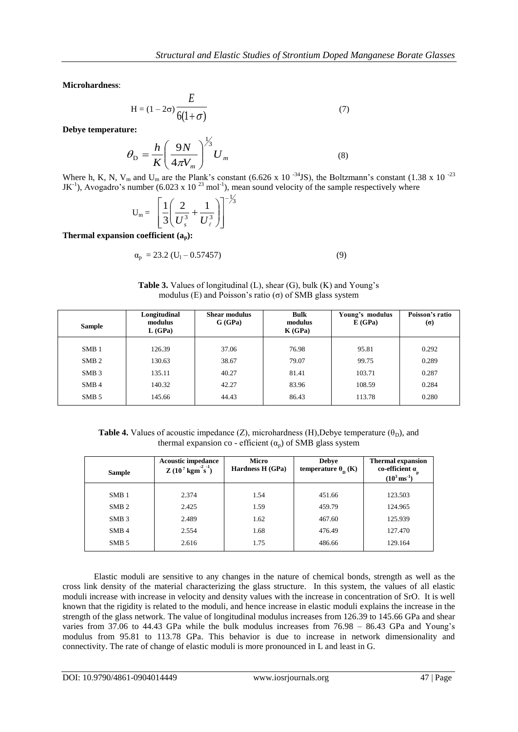**Microhardness**:

$$
H = (1 - 2\sigma) \frac{E}{6(1 + \sigma)}
$$
\n(7)

**Debye temperature:**

$$
\theta_{\rm D} = \frac{h}{K} \left( \frac{9N}{4\pi V_m} \right)^{\frac{1}{3}} U_m \tag{8}
$$

Where h, K, N, V<sub>m</sub> and U<sub>m</sub> are the Plank's constant (6.626 x 10<sup>-34</sup>JS), the Boltzmann's constant (1.38 x 10<sup>-23</sup> JK<sup>-1</sup>), Avogadro's number (6.023 x 10<sup>23</sup> mol<sup>-1</sup>), mean sound velocity of the sample respectively where

$$
U_{\rm m} = \left[\frac{1}{3}\left(\frac{2}{U_s^3} + \frac{1}{U_\ell^3}\right)\right]^{-\frac{1}{3}}
$$

**Thermal expansion coefficient (ap):**

$$
\alpha_{\rm p} = 23.2 \left( \text{U}_1 - 0.57457 \right) \tag{9}
$$

**Table 3.** Values of longitudinal (L), shear (G), bulk (K) and Young's modulus (E) and Poisson's ratio (σ) of SMB glass system

| <b>Sample</b>    | Longitudinal<br>modulus<br>L(GPa) | <b>Shear modulus</b><br>G(GPa) | <b>Bulk</b><br>modulus<br>K(GPa) | Young's modulus<br>E(GPa) | Poisson's ratio<br>$\sigma$ |
|------------------|-----------------------------------|--------------------------------|----------------------------------|---------------------------|-----------------------------|
| SMB1             | 126.39                            | 37.06                          | 76.98                            | 95.81                     | 0.292                       |
| SMB <sub>2</sub> | 130.63                            | 38.67                          | 79.07                            | 99.75                     | 0.289                       |
|                  |                                   |                                |                                  |                           |                             |
| SMB <sub>3</sub> | 135.11                            | 40.27                          | 81.41                            | 103.71                    | 0.287                       |
| SMB <sub>4</sub> | 140.32                            | 42.27                          | 83.96                            | 108.59                    | 0.284                       |
| SMB 5            | 145.66                            | 44.43                          | 86.43                            | 113.78                    | 0.280                       |

**Table 4.** Values of acoustic impedance (Z), microhardness (H), Debye temperature ( $\theta_D$ ), and thermal expansion co - efficient  $(\alpha_n)$  of SMB glass system

| <b>Sample</b>    | <b>Acoustic impedance</b><br>$Z(10^7 \text{ kgm}^2 \text{s}^2)$ | Micro<br>Hardness H (GPa) | <b>Debye</b><br>temperature $\theta_{\rm n}$ (K) | <b>Thermal expansion</b><br>co-efficient $a_{p}$<br>$(10^3 \,\rm{ms}^{-1})$ |
|------------------|-----------------------------------------------------------------|---------------------------|--------------------------------------------------|-----------------------------------------------------------------------------|
| SMB1             | 2.374                                                           | 1.54                      | 451.66                                           | 123.503                                                                     |
| SMB <sub>2</sub> | 2.425                                                           | 1.59                      | 459.79                                           | 124.965                                                                     |
| SMB <sub>3</sub> | 2.489                                                           | 1.62                      | 467.60                                           | 125.939                                                                     |
| SMB <sub>4</sub> | 2.554                                                           | 1.68                      | 476.49                                           | 127.470                                                                     |
| SMB <sub>5</sub> | 2.616                                                           | 1.75                      | 486.66                                           | 129.164                                                                     |

Elastic moduli are sensitive to any changes in the nature of chemical bonds, strength as well as the cross link density of the material characterizing the glass structure. In this system, the values of all elastic moduli increase with increase in velocity and density values with the increase in concentration of SrO. It is well known that the rigidity is related to the moduli, and hence increase in elastic moduli explains the increase in the strength of the glass network. The value of longitudinal modulus increases from 126.39 to 145.66 GPa and shear varies from 37.06 to 44.43 GPa while the bulk modulus increases from 76.98 – 86.43 GPa and Young's modulus from 95.81 to 113.78 GPa. This behavior is due to increase in network dimensionality and connectivity. The rate of change of elastic moduli is more pronounced in L and least in G.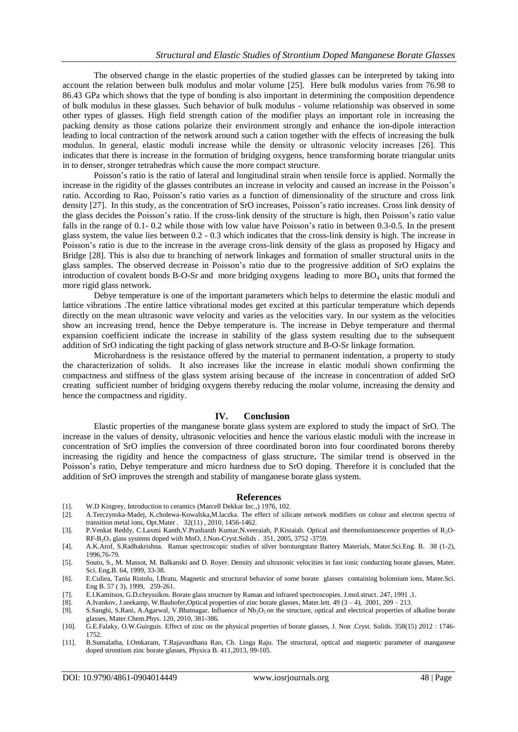The observed change in the elastic properties of the studied glasses can be interpreted by taking into account the relation between bulk modulus and molar volume [25]. Here bulk modulus varies from 76.98 to 86.43 GPa which shows that the type of bonding is also important in determining the composition dependence of bulk modulus in these glasses. Such behavior of bulk modulus - volume relationship was observed in some other types of glasses. High field strength cation of the modifier plays an important role in increasing the packing density as those cations polarize their environment strongly and enhance the ion-dipole interaction leading to local contraction of the network around such a cation together with the effects of increasing the bulk modulus. In general, elastic moduli increase while the density or ultrasonic velocity increases [26]. This indicates that there is increase in the formation of bridging oxygens, hence transforming borate triangular units in to denser, stronger tetrahedras which cause the more compact structure.

Poisson's ratio is the ratio of lateral and longitudinal strain when tensile force is applied. Normally the increase in the rigidity of the glasses contributes an increase in velocity and caused an increase in the Poisson's ratio. According to Rao, Poisson's ratio varies as a function of dimensionality of the structure and cross link density [27]. In this study, as the concentration of SrO increases, Poisson's ratio increases. Cross link density of the glass decides the Poisson's ratio. If the cross-link density of the structure is high, then Poisson's ratio value falls in the range of 0.1- 0.2 while those with low value have Poisson's ratio in between 0.3-0.5. In the present glass system, the value lies between 0.2 - 0.3 which indicates that the cross-link density is high. The increase in Poisson's ratio is due to the increase in the average cross-link density of the glass as proposed by Higacy and Bridge [28]. This is also due to branching of network linkages and formation of smaller structural units in the glass samples. The observed decrease in Poisson's ratio due to the progressive addition of SrO explains the introduction of covalent bonds B-O-Sr and more bridging oxygens leading to more  $BO<sub>4</sub>$  units that formed the more rigid glass network.

Debye temperature is one of the important parameters which helps to determine the elastic moduli and lattice vibrations .The entire lattice vibrational modes get excited at this particular temperature which depends directly on the mean ultrasonic wave velocity and varies as the velocities vary. In our system as the velocities show an increasing trend, hence the Debye temperature is. The increase in Debye temperature and thermal expansion coefficient indicate the increase in stability of the glass system resulting due to the subsequent addition of SrO indicating the tight packing of glass network structure and B-O-Sr linkage formation.

Microhardness is the resistance offered by the material to permanent indentation, a property to study the characterization of solids. It also increases like the increase in elastic moduli shown confirming the compactness and stiffness of the glass system arising because of the increase in concentration of added SrO creating sufficient number of bridging oxygens thereby reducing the molar volume, increasing the density and hence the compactness and rigidity.

#### **IV. Conclusion**

Elastic properties of the manganese borate glass system are explored to study the impact of SrO. The increase in the values of density, ultrasonic velocities and hence the various elastic moduli with the increase in concentration of SrO implies the conversion of three coordinated boron into four coordinated borons thereby increasing the rigidity and hence the compactness of glass structure**.** The similar trend is observed in the Poisson's ratio, Debye temperature and micro hardness due to SrO doping. Therefore it is concluded that the addition of SrO improves the strength and stability of manganese borate glass system.

#### **References**

- [1]. W.D Kingrey, Introduction to ceramics (Marcell Dekkar Inc.,) 1976, 102.
- [2]. A.Terczynska-Madej, K.cholewa-Kowalska,M.laczka. The effect of silicate network modifiers on colour and electron spectra of transition metal ions, Opt.Mater . 32(11) , 2010, 1456-1462.
- [3]. P.Venkat Reddy, C.Laxmi Kanth,V.Prashanth Kumar,N.veeraiah, P.Kistaiah. Optical and thermoluminescence properties of R2O-RF-B2O<sup>3</sup> glass systems doped with MnO, J.Non-Cryst.Solids . 351, 2005, 3752 -3759.
- [4]. A.K.Arof, S.Radhakrishna. Raman spectroscopic studies of silver borotungstate Battery Materials, Mater.Sci.Eng. B. 38 (1-2), 1996,76-79.
- [5]. Souto, S., M. Massot, M. Balkanski and D. Royer. Density and ultrasonic velocities in fast ionic conducting borate glasses, Mater. Sci. Eng.B. 64, 1999, 33-38.
- [6]. E.Culiea, Tania Ristolu, I.Bratu. Magnetic and structural behavior of some borate glasses containing holomium ions, Mater.Sci. Eng B. 57 ( 3), 1999, 259-261.
- [7]. E.I.Kamitsos, G.D.chryssikos. Borate glass structure by Raman and infrared spectroscopies. J.mol.struct. 247, 1991 ,1.
- [8]. A.Ivankov, J.seekamp, W.Bauhofer,Optical properties of zinc borate glasses, Mater.lett. 49 (3 4), 2001, 209 213.
- [9]. S.Sanghi, S.Rani, A.Agarwal, V.Bhatnagar. Influence of Nb<sub>2</sub>O<sub>5</sub> on the structure, optical and electrical properties of alkaline borate glasses, Mater.Chem.Phys. 120, 2010, 381-386.
- [10]. G.E.Falaky, O.W.Guirguis. Effect of zinc on the physical properties of borate glasses, J. Non .Cryst. Solids. 358(15) 2012 : 1746- 1752.
- [11]. B.Sumalatha, I.Omkaram, T.Rajavardhana Rao, Ch. Linga Raju. The structural, optical and magnetic parameter of manganese doped strontium zinc borate glasses, Physica B. 411,2013, 99-105.